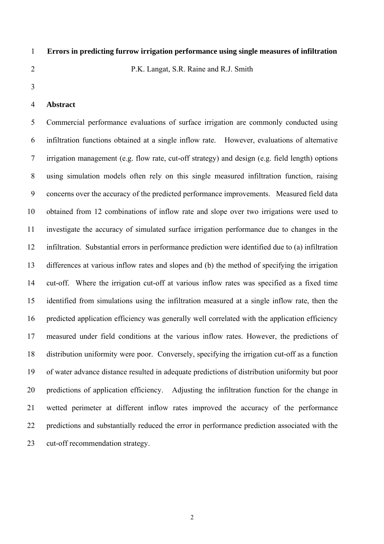# 1 **Errors in predicting furrow irrigation performance using single measures of infiltration**

2 P.K. Langat, S.R. Raine and R.J. Smith

3

# 4 **Abstract**

5 Commercial performance evaluations of surface irrigation are commonly conducted using 6 infiltration functions obtained at a single inflow rate. However, evaluations of alternative 7 irrigation management (e.g. flow rate, cut-off strategy) and design (e.g. field length) options 8 using simulation models often rely on this single measured infiltration function, raising 9 concerns over the accuracy of the predicted performance improvements. Measured field data 10 obtained from 12 combinations of inflow rate and slope over two irrigations were used to 11 investigate the accuracy of simulated surface irrigation performance due to changes in the 12 infiltration. Substantial errors in performance prediction were identified due to (a) infiltration 13 differences at various inflow rates and slopes and (b) the method of specifying the irrigation 14 cut-off. Where the irrigation cut-off at various inflow rates was specified as a fixed time 15 identified from simulations using the infiltration measured at a single inflow rate, then the 16 predicted application efficiency was generally well correlated with the application efficiency 17 measured under field conditions at the various inflow rates. However, the predictions of 18 distribution uniformity were poor. Conversely, specifying the irrigation cut-off as a function 19 of water advance distance resulted in adequate predictions of distribution uniformity but poor 20 predictions of application efficiency. Adjusting the infiltration function for the change in 21 wetted perimeter at different inflow rates improved the accuracy of the performance 22 predictions and substantially reduced the error in performance prediction associated with the 23 cut-off recommendation strategy.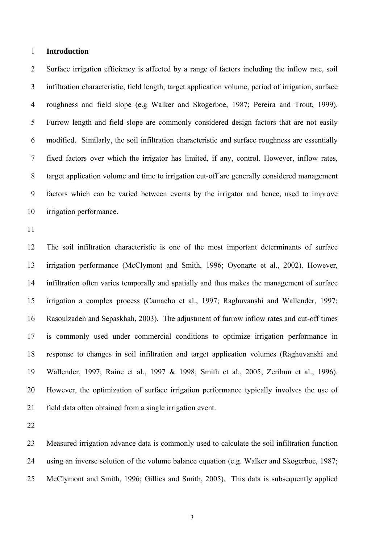### 1 **Introduction**

2 Surface irrigation efficiency is affected by a range of factors including the inflow rate, soil 3 infiltration characteristic, field length, target application volume, period of irrigation, surface 4 roughness and field slope (e.g Walker and Skogerboe, 1987; Pereira and Trout, 1999). 5 Furrow length and field slope are commonly considered design factors that are not easily 6 modified. Similarly, the soil infiltration characteristic and surface roughness are essentially 7 fixed factors over which the irrigator has limited, if any, control. However, inflow rates, 8 target application volume and time to irrigation cut-off are generally considered management 9 factors which can be varied between events by the irrigator and hence, used to improve 10 irrigation performance.

11

12 The soil infiltration characteristic is one of the most important determinants of surface 13 irrigation performance (McClymont and Smith, 1996; Oyonarte et al., 2002). However, 14 infiltration often varies temporally and spatially and thus makes the management of surface 15 irrigation a complex process (Camacho et al., 1997; Raghuvanshi and Wallender, 1997; 16 Rasoulzadeh and Sepaskhah, 2003). The adjustment of furrow inflow rates and cut-off times 17 is commonly used under commercial conditions to optimize irrigation performance in 18 response to changes in soil infiltration and target application volumes (Raghuvanshi and 19 Wallender, 1997; Raine et al., 1997 & 1998; Smith et al., 2005; Zerihun et al., 1996). 20 However, the optimization of surface irrigation performance typically involves the use of 21 field data often obtained from a single irrigation event.

22

23 Measured irrigation advance data is commonly used to calculate the soil infiltration function 24 using an inverse solution of the volume balance equation (e.g. Walker and Skogerboe, 1987; 25 McClymont and Smith, 1996; Gillies and Smith, 2005). This data is subsequently applied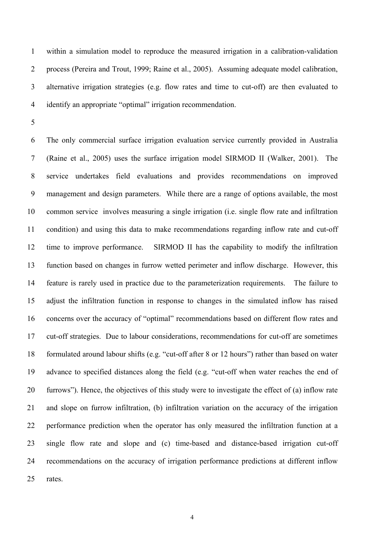1 within a simulation model to reproduce the measured irrigation in a calibration-validation 2 process (Pereira and Trout, 1999; Raine et al., 2005). Assuming adequate model calibration, 3 alternative irrigation strategies (e.g. flow rates and time to cut-off) are then evaluated to 4 identify an appropriate "optimal" irrigation recommendation.

5

6 The only commercial surface irrigation evaluation service currently provided in Australia 7 (Raine et al., 2005) uses the surface irrigation model SIRMOD II (Walker, 2001). The 8 service undertakes field evaluations and provides recommendations on improved 9 management and design parameters. While there are a range of options available, the most 10 common service involves measuring a single irrigation (i.e. single flow rate and infiltration 11 condition) and using this data to make recommendations regarding inflow rate and cut-off 12 time to improve performance. SIRMOD II has the capability to modify the infiltration 13 function based on changes in furrow wetted perimeter and inflow discharge. However, this 14 feature is rarely used in practice due to the parameterization requirements. The failure to 15 adjust the infiltration function in response to changes in the simulated inflow has raised 16 concerns over the accuracy of "optimal" recommendations based on different flow rates and 17 cut-off strategies. Due to labour considerations, recommendations for cut-off are sometimes 18 formulated around labour shifts (e.g. "cut-off after 8 or 12 hours") rather than based on water 19 advance to specified distances along the field (e.g. "cut-off when water reaches the end of 20 furrows"). Hence, the objectives of this study were to investigate the effect of (a) inflow rate 21 and slope on furrow infiltration, (b) infiltration variation on the accuracy of the irrigation 22 performance prediction when the operator has only measured the infiltration function at a 23 single flow rate and slope and (c) time-based and distance-based irrigation cut-off 24 recommendations on the accuracy of irrigation performance predictions at different inflow 25 rates.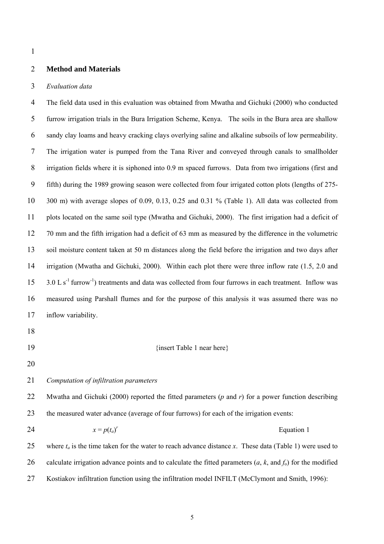### 2 **Method and Materials**

#### 3 *Evaluation data*

4 The field data used in this evaluation was obtained from Mwatha and Gichuki (2000) who conducted 5 furrow irrigation trials in the Bura Irrigation Scheme, Kenya. The soils in the Bura area are shallow 6 sandy clay loams and heavy cracking clays overlying saline and alkaline subsoils of low permeability. 7 The irrigation water is pumped from the Tana River and conveyed through canals to smallholder 8 irrigation fields where it is siphoned into 0.9 m spaced furrows. Data from two irrigations (first and 9 fifth) during the 1989 growing season were collected from four irrigated cotton plots (lengths of 275- 10 300 m) with average slopes of 0.09, 0.13, 0.25 and 0.31 % (Table 1). All data was collected from 11 plots located on the same soil type (Mwatha and Gichuki, 2000). The first irrigation had a deficit of 12 70 mm and the fifth irrigation had a deficit of 63 mm as measured by the difference in the volumetric 13 soil moisture content taken at 50 m distances along the field before the irrigation and two days after 14 irrigation (Mwatha and Gichuki, 2000). Within each plot there were three inflow rate (1.5, 2.0 and  $15$  3.0 L s<sup>-1</sup> furrow<sup>-1</sup>) treatments and data was collected from four furrows in each treatment. Inflow was 16 measured using Parshall flumes and for the purpose of this analysis it was assumed there was no 17 inflow variability.

- 18
- 

### 19 {insert Table 1 near here}

20

# 21 *Computation of infiltration parameters*

22 Mwatha and Gichuki (2000) reported the fitted parameters (*p* and *r*) for a power function describing 23 the measured water advance (average of four furrows) for each of the irrigation events:

 $x = p(t_a)^r$ 24  $x = p(t_a)^r$  Equation 1

25 where  $t_a$  is the time taken for the water to reach advance distance *x*. These data (Table 1) were used to 26 calculate irrigation advance points and to calculate the fitted parameters (*a*, *k*, and *f*o) for the modified 27 Kostiakov infiltration function using the infiltration model INFILT (McClymont and Smith, 1996):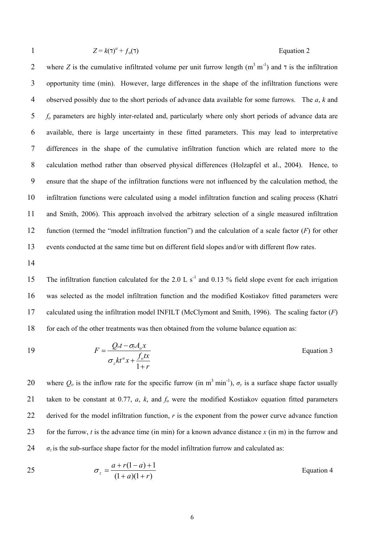$$
Z = k(\tau)^a + f_o(\tau)
$$
 Equation 2

2 where *Z* is the cumulative infiltrated volume per unit furrow length  $(m^3 m^{-1})$  and  $\tau$  is the infiltration 3 opportunity time (min). However, large differences in the shape of the infiltration functions were 4 observed possibly due to the short periods of advance data available for some furrows. The *a*, *k* and 5 *fo* parameters are highly inter-related and, particularly where only short periods of advance data are 6 available, there is large uncertainty in these fitted parameters. This may lead to interpretative 7 differences in the shape of the cumulative infiltration function which are related more to the 8 calculation method rather than observed physical differences (Holzapfel et al., 2004). Hence, to 9 ensure that the shape of the infiltration functions were not influenced by the calculation method, the 10 infiltration functions were calculated using a model infiltration function and scaling process (Khatri 11 and Smith, 2006). This approach involved the arbitrary selection of a single measured infiltration 12 function (termed the "model infiltration function") and the calculation of a scale factor (*F*) for other 13 events conducted at the same time but on different field slopes and/or with different flow rates.

14

15 The infiltration function calculated for the 2.0 L s<sup>-1</sup> and 0.13 % field slope event for each irrigation 16 was selected as the model infiltration function and the modified Kostiakov fitted parameters were 17 calculated using the infiltration model INFILT (McClymont and Smith, 1996). The scaling factor (*F*) 18 for each of the other treatments was then obtained from the volume balance equation as:

19 
$$
F = \frac{Q_{ot} - \sigma_{y}A_{o}x}{\sigma_{z}kt^{a}x + \frac{f_{o}tx}{1+r}}
$$
 Equation 3

20 where  $Q_0$  is the inflow rate for the specific furrow (in m<sup>3</sup> min<sup>-1</sup>),  $\sigma_v$  is a surface shape factor usually 21 taken to be constant at 0.77, *a*, *k*, and *f*o were the modified Kostiakov equation fitted parameters 22 derived for the model infiltration function, *r* is the exponent from the power curve advance function 23 for the furrow, *t* is the advance time (in min) for a known advance distance *x* (in m) in the furrow and 24  $\sigma_z$  is the sub-surface shape factor for the model infiltration furrow and calculated as:

$$
\sigma_z = \frac{a + r(1 - a) + 1}{(1 + a)(1 + r)}
$$
Equation 4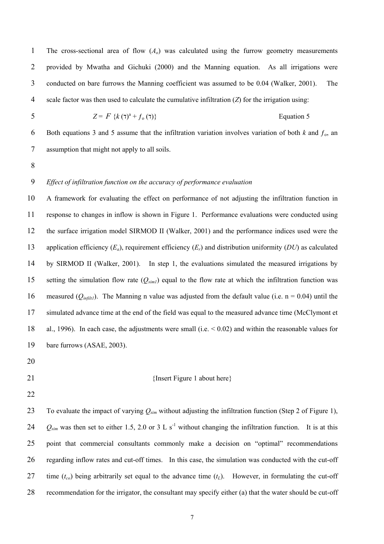1 The cross-sectional area of flow (*Ao*) was calculated using the furrow geometry measurements 2 provided by Mwatha and Gichuki (2000) and the Manning equation. As all irrigations were 3 conducted on bare furrows the Manning coefficient was assumed to be 0.04 (Walker, 2001). The 4 scale factor was then used to calculate the cumulative infiltration (*Z*) for the irrigation using:

$$
Z = F \{k(\tau)^a + f_o(\tau)\}
$$
 Equation 5

6 Both equations 3 and 5 assume that the infiltration variation involves variation of both  $k$  and  $f_0$ , and 7 assumption that might not apply to all soils.

8

# 9 *Effect of infiltration function on the accuracy of performance evaluation*

10 A framework for evaluating the effect on performance of not adjusting the infiltration function in 11 response to changes in inflow is shown in Figure 1. Performance evaluations were conducted using 12 the surface irrigation model SIRMOD II (Walker, 2001) and the performance indices used were the 13 application efficiency (*Ea*), requirement efficiency (*Er*) and distribution uniformity (*DU*) as calculated 14 by SIRMOD II (Walker, 2001). In step 1, the evaluations simulated the measured irrigations by 15 setting the simulation flow rate (*Qsim1*) equal to the flow rate at which the infiltration function was 16 measured ( $Q_{infill}$ ). The Manning n value was adjusted from the default value (i.e. n = 0.04) until the 17 simulated advance time at the end of the field was equal to the measured advance time (McClymont et 18 al., 1996). In each case, the adjustments were small (i.e. < 0.02) and within the reasonable values for 19 bare furrows (ASAE, 2003).

- 20
- 

#### 21 {Insert Figure 1 about here}

22

23 To evaluate the impact of varying *Qsim* without adjusting the infiltration function (Step 2 of Figure 1), 24  $Q_{sim}$  was then set to either 1.5, 2.0 or 3 L s<sup>-1</sup> without changing the infiltration function. It is at this 25 point that commercial consultants commonly make a decision on "optimal" recommendations 26 regarding inflow rates and cut-off times. In this case, the simulation was conducted with the cut-off 27 time  $(t_{co})$  being arbitrarily set equal to the advance time  $(t_L)$ . However, in formulating the cut-off 28 recommendation for the irrigator, the consultant may specify either (a) that the water should be cut-off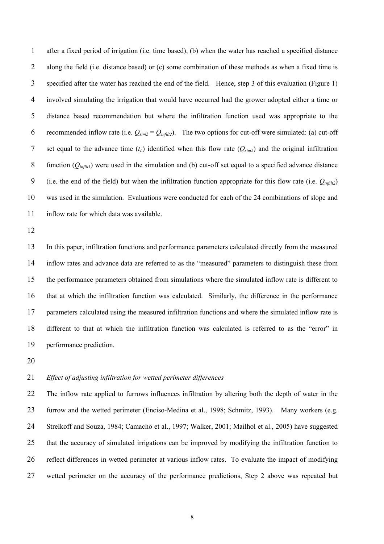1 after a fixed period of irrigation (i.e. time based), (b) when the water has reached a specified distance 2 along the field (i.e. distance based) or (c) some combination of these methods as when a fixed time is 3 specified after the water has reached the end of the field. Hence, step 3 of this evaluation (Figure 1) 4 involved simulating the irrigation that would have occurred had the grower adopted either a time or 5 distance based recommendation but where the infiltration function used was appropriate to the 6 recommended inflow rate (i.e.  $Q_{sim2} = Q_{infilt2}$ ). The two options for cut-off were simulated: (a) cut-off 7 set equal to the advance time  $(t_L)$  identified when this flow rate  $(Q_{sim2})$  and the original infiltration 8 function (*Qinfilt1*) were used in the simulation and (b) cut-off set equal to a specified advance distance 9 (i.e. the end of the field) but when the infiltration function appropriate for this flow rate (i.e. *Qinfilt2*) 10 was used in the simulation. Evaluations were conducted for each of the 24 combinations of slope and 11 inflow rate for which data was available.

12

13 In this paper, infiltration functions and performance parameters calculated directly from the measured 14 inflow rates and advance data are referred to as the "measured" parameters to distinguish these from 15 the performance parameters obtained from simulations where the simulated inflow rate is different to 16 that at which the infiltration function was calculated. Similarly, the difference in the performance 17 parameters calculated using the measured infiltration functions and where the simulated inflow rate is 18 different to that at which the infiltration function was calculated is referred to as the "error" in 19 performance prediction.

20

# 21 *Effect of adjusting infiltration for wetted perimeter differences*

22 The inflow rate applied to furrows influences infiltration by altering both the depth of water in the 23 furrow and the wetted perimeter (Enciso-Medina et al., 1998; Schmitz, 1993). Many workers (e.g. 24 Strelkoff and Souza, 1984; Camacho et al., 1997; Walker, 2001; Mailhol et al., 2005) have suggested 25 that the accuracy of simulated irrigations can be improved by modifying the infiltration function to 26 reflect differences in wetted perimeter at various inflow rates. To evaluate the impact of modifying 27 wetted perimeter on the accuracy of the performance predictions, Step 2 above was repeated but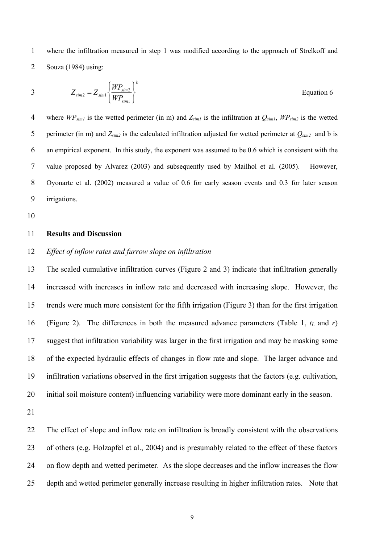1 where the infiltration measured in step 1 was modified according to the approach of Strelkoff and 2 Souza (1984) using:

$$
Z_{\text{sim2}} = Z_{\text{sim1}} \left\{ \frac{W P_{\text{sim2}}}{W P_{\text{sim1}}} \right\}^b
$$
 Equation 6

4 where  $W P_{sim1}$  is the wetted perimeter (in m) and  $Z_{sim1}$  is the infiltration at  $Q_{sim1}$ ,  $W P_{sim2}$  is the wetted 5 perimeter (in m) and  $Z_{sim2}$  is the calculated infiltration adjusted for wetted perimeter at  $Q_{sim2}$  and b is 6 an empirical exponent. In this study, the exponent was assumed to be 0.6 which is consistent with the 7 value proposed by Alvarez (2003) and subsequently used by Mailhol et al. (2005). However, 8 Oyonarte et al. (2002) measured a value of 0.6 for early season events and 0.3 for later season 9 irrigations.

10

### 11 **Results and Discussion**

### 12 *Effect of inflow rates and furrow slope on infiltration*

13 The scaled cumulative infiltration curves (Figure 2 and 3) indicate that infiltration generally 14 increased with increases in inflow rate and decreased with increasing slope. However, the 15 trends were much more consistent for the fifth irrigation (Figure 3) than for the first irrigation 16 (Figure 2). The differences in both the measured advance parameters (Table 1,  $t_L$  and  $r$ ) 17 suggest that infiltration variability was larger in the first irrigation and may be masking some 18 of the expected hydraulic effects of changes in flow rate and slope. The larger advance and 19 infiltration variations observed in the first irrigation suggests that the factors (e.g. cultivation, 20 initial soil moisture content) influencing variability were more dominant early in the season.

21

22 The effect of slope and inflow rate on infiltration is broadly consistent with the observations 23 of others (e.g. Holzapfel et al., 2004) and is presumably related to the effect of these factors 24 on flow depth and wetted perimeter. As the slope decreases and the inflow increases the flow 25 depth and wetted perimeter generally increase resulting in higher infiltration rates. Note that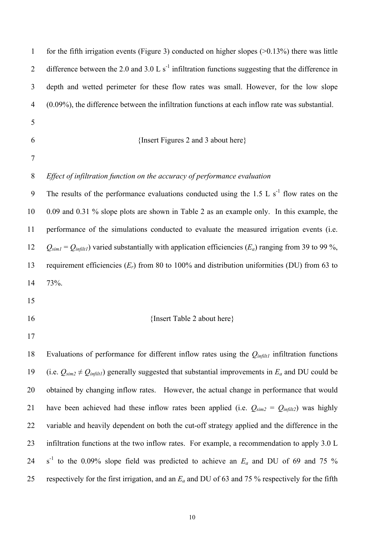| $\mathbf{1}$   | for the fifth irrigation events (Figure 3) conducted on higher slopes $(>0.13\%)$ there was little              |
|----------------|-----------------------------------------------------------------------------------------------------------------|
| $\overline{2}$ | difference between the 2.0 and 3.0 L $s^{-1}$ infiltration functions suggesting that the difference in          |
| 3              | depth and wetted perimeter for these flow rates was small. However, for the low slope                           |
| $\overline{4}$ | $(0.09\%)$ , the difference between the infiltration functions at each inflow rate was substantial.             |
| 5              |                                                                                                                 |
| 6              | {Insert Figures 2 and 3 about here}                                                                             |
| 7              |                                                                                                                 |
| 8              | Effect of infiltration function on the accuracy of performance evaluation                                       |
| 9              | The results of the performance evaluations conducted using the 1.5 L $s^{-1}$ flow rates on the                 |
| 10             | 0.09 and 0.31 % slope plots are shown in Table 2 as an example only. In this example, the                       |
| 11             | performance of the simulations conducted to evaluate the measured irrigation events (i.e.                       |
| 12             | $Q_{sim1} = Q_{infilt}$ ) varied substantially with application efficiencies ( $E_a$ ) ranging from 39 to 99 %, |
| 13             | requirement efficiencies $(E_r)$ from 80 to 100% and distribution uniformities (DU) from 63 to                  |
| 14             | 73%.                                                                                                            |
| 15             |                                                                                                                 |
| 16             | {Insert Table 2 about here}                                                                                     |
| 17             |                                                                                                                 |
| 18             | Evaluations of performance for different inflow rates using the $Q_{infit1}$ infiltration functions             |
| 19             | (i.e. $Q_{sim2} \neq Q_{infit1}$ ) generally suggested that substantial improvements in $E_a$ and DU could be   |
| 20             | obtained by changing inflow rates. However, the actual change in performance that would                         |
| 21             | have been achieved had these inflow rates been applied (i.e. $Q_{sim2} = Q_{infit2}$ ) was highly               |
| 22             | variable and heavily dependent on both the cut-off strategy applied and the difference in the                   |
| 23             | infiltration functions at the two inflow rates. For example, a recommendation to apply 3.0 L                    |
| 24             | $s^{-1}$ to the 0.09% slope field was predicted to achieve an $E_a$ and DU of 69 and 75 %                       |
| 25             | respectively for the first irrigation, and an $E_a$ and DU of 63 and 75 % respectively for the fifth            |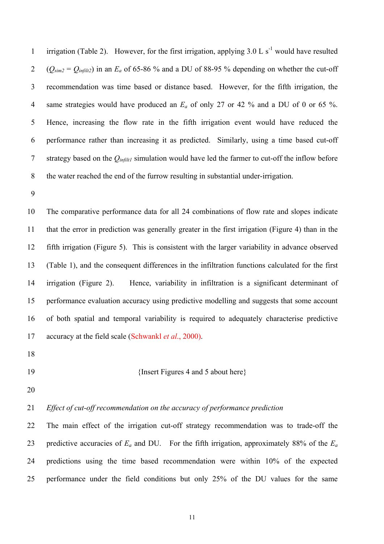1 irrigation (Table 2). However, for the first irrigation, applying  $3.0 \, \text{L s}^{-1}$  would have resulted 2  $(Q_{sim2} = Q_{infilt2})$  in an  $E_a$  of 65-86 % and a DU of 88-95 % depending on whether the cut-off 3 recommendation was time based or distance based. However, for the fifth irrigation, the 4 same strategies would have produced an *Ea* of only 27 or 42 % and a DU of 0 or 65 %. 5 Hence, increasing the flow rate in the fifth irrigation event would have reduced the 6 performance rather than increasing it as predicted. Similarly, using a time based cut-off 7 strategy based on the *Qinfilt1* simulation would have led the farmer to cut-off the inflow before 8 the water reached the end of the furrow resulting in substantial under-irrigation.

9

10 The comparative performance data for all 24 combinations of flow rate and slopes indicate 11 that the error in prediction was generally greater in the first irrigation (Figure 4) than in the 12 fifth irrigation (Figure 5). This is consistent with the larger variability in advance observed 13 (Table 1), and the consequent differences in the infiltration functions calculated for the first 14 irrigation (Figure 2). Hence, variability in infiltration is a significant determinant of 15 performance evaluation accuracy using predictive modelling and suggests that some account 16 of both spatial and temporal variability is required to adequately characterise predictive 17 accuracy at the field scale (Schwankl *et al*., 2000).

18

#### 19 {Insert Figures 4 and 5 about here}

20

# 21 *Effect of cut-off recommendation on the accuracy of performance prediction*

22 The main effect of the irrigation cut-off strategy recommendation was to trade-off the 23 predictive accuracies of *Ea* and DU. For the fifth irrigation, approximately 88% of the *Ea* 24 predictions using the time based recommendation were within 10% of the expected 25 performance under the field conditions but only 25% of the DU values for the same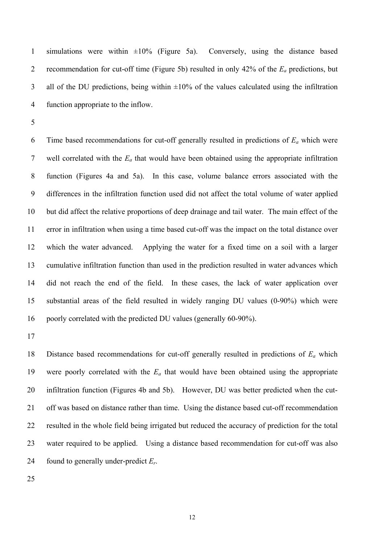1 simulations were within  $\pm 10\%$  (Figure 5a). Conversely, using the distance based 2 recommendation for cut-off time (Figure 5b) resulted in only 42% of the *Ea* predictions, but 3 all of the DU predictions, being within  $\pm 10\%$  of the values calculated using the infiltration 4 function appropriate to the inflow.

5

6 Time based recommendations for cut-off generally resulted in predictions of *Ea* which were 7 well correlated with the *Ea* that would have been obtained using the appropriate infiltration 8 function (Figures 4a and 5a). In this case, volume balance errors associated with the 9 differences in the infiltration function used did not affect the total volume of water applied 10 but did affect the relative proportions of deep drainage and tail water. The main effect of the 11 error in infiltration when using a time based cut-off was the impact on the total distance over 12 which the water advanced. Applying the water for a fixed time on a soil with a larger 13 cumulative infiltration function than used in the prediction resulted in water advances which 14 did not reach the end of the field. In these cases, the lack of water application over 15 substantial areas of the field resulted in widely ranging DU values (0-90%) which were 16 poorly correlated with the predicted DU values (generally 60-90%).

17

18 Distance based recommendations for cut-off generally resulted in predictions of *Ea* which 19 were poorly correlated with the *Ea* that would have been obtained using the appropriate 20 infiltration function (Figures 4b and 5b). However, DU was better predicted when the cut-21 off was based on distance rather than time. Using the distance based cut-off recommendation 22 resulted in the whole field being irrigated but reduced the accuracy of prediction for the total 23 water required to be applied. Using a distance based recommendation for cut-off was also 24 found to generally under-predict *Er*.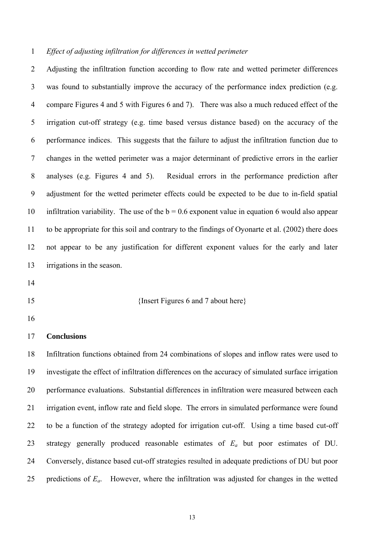### 1 *Effect of adjusting infiltration for differences in wetted perimeter*

2 Adjusting the infiltration function according to flow rate and wetted perimeter differences 3 was found to substantially improve the accuracy of the performance index prediction (e.g. 4 compare Figures 4 and 5 with Figures 6 and 7). There was also a much reduced effect of the 5 irrigation cut-off strategy (e.g. time based versus distance based) on the accuracy of the 6 performance indices. This suggests that the failure to adjust the infiltration function due to 7 changes in the wetted perimeter was a major determinant of predictive errors in the earlier 8 analyses (e.g. Figures 4 and 5). Residual errors in the performance prediction after 9 adjustment for the wetted perimeter effects could be expected to be due to in-field spatial 10 infiltration variability. The use of the  $b = 0.6$  exponent value in equation 6 would also appear 11 to be appropriate for this soil and contrary to the findings of Oyonarte et al. (2002) there does 12 not appear to be any justification for different exponent values for the early and later 13 irrigations in the season.

- 14
- 

15 {Insert Figures 6 and 7 about here}

16

#### 17 **Conclusions**

18 Infiltration functions obtained from 24 combinations of slopes and inflow rates were used to 19 investigate the effect of infiltration differences on the accuracy of simulated surface irrigation 20 performance evaluations. Substantial differences in infiltration were measured between each 21 irrigation event, inflow rate and field slope. The errors in simulated performance were found 22 to be a function of the strategy adopted for irrigation cut-off. Using a time based cut-off 23 strategy generally produced reasonable estimates of *Ea* but poor estimates of DU. 24 Conversely, distance based cut-off strategies resulted in adequate predictions of DU but poor 25 predictions of *Ea*. However, where the infiltration was adjusted for changes in the wetted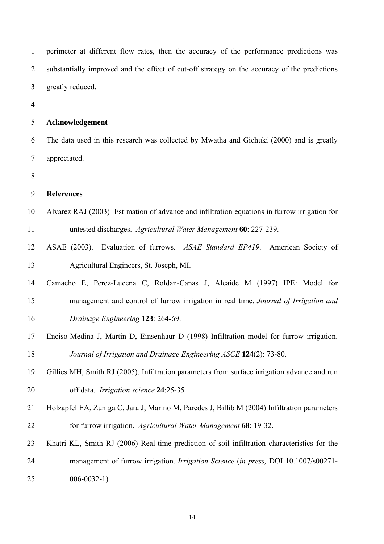1 perimeter at different flow rates, then the accuracy of the performance predictions was 2 substantially improved and the effect of cut-off strategy on the accuracy of the predictions 3 greatly reduced.

4

### 5 **Acknowledgement**

6 The data used in this research was collected by Mwatha and Gichuki (2000) and is greatly 7 appreciated.

8

# 9 **References**

- 10 Alvarez RAJ (2003) Estimation of advance and infiltration equations in furrow irrigation for 11 untested discharges. *Agricultural Water Management* **60**: 227-239.
- 12 ASAE (2003). Evaluation of furrows. *ASAE Standard EP419*. American Society of 13 Agricultural Engineers, St. Joseph, MI.
- 14 Camacho E, Perez-Lucena C, Roldan-Canas J, Alcaide M (1997) IPE: Model for 15 management and control of furrow irrigation in real time. *Journal of Irrigation and*  16 *Drainage Engineering* **123**: 264-69.
- 17 Enciso-Medina J, Martin D, Einsenhaur D (1998) Infiltration model for furrow irrigation. 18 *Journal of Irrigation and Drainage Engineering ASCE* **124**(2): 73-80.
- 19 Gillies MH, Smith RJ (2005). Infiltration parameters from surface irrigation advance and run 20 off data. *Irrigation science* **24**:25-35
- 21 Holzapfel EA, Zuniga C, Jara J, Marino M, Paredes J, Billib M (2004) Infiltration parameters 22 for furrow irrigation. *Agricultural Water Management* **68**: 19-32.
- 23 Khatri KL, Smith RJ (2006) Real-time prediction of soil infiltration characteristics for the 24 management of furrow irrigation. *Irrigation Science* (*in press,* DOI 10.1007/s00271- 25 006-0032-1)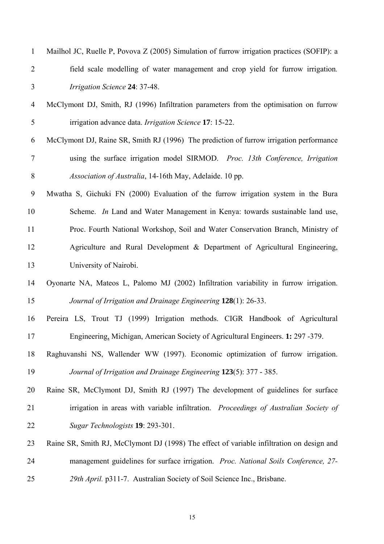| $\mathbf{1}$   | Mailhol JC, Ruelle P, Povova Z (2005) Simulation of furrow irrigation practices (SOFIP): a |
|----------------|--------------------------------------------------------------------------------------------|
| $\overline{2}$ | field scale modelling of water management and crop yield for furrow irrigation.            |
| $\mathfrak{Z}$ | Irrigation Science 24: 37-48.                                                              |
| $\overline{4}$ | McClymont DJ, Smith, RJ (1996) Infiltration parameters from the optimisation on furrow     |
| 5              | irrigation advance data. Irrigation Science 17: 15-22.                                     |
| 6              | McClymont DJ, Raine SR, Smith RJ (1996) The prediction of furrow irrigation performance    |
| $\tau$         | using the surface irrigation model SIRMOD. Proc. 13th Conference, Irrigation               |
| $8\,$          | Association of Australia, 14-16th May, Adelaide. 10 pp.                                    |
| 9              | Mwatha S, Gichuki FN (2000) Evaluation of the furrow irrigation system in the Bura         |
| 10             | Scheme. In Land and Water Management in Kenya: towards sustainable land use,               |
| 11             | Proc. Fourth National Workshop, Soil and Water Conservation Branch, Ministry of            |
| 12             | Agriculture and Rural Development & Department of Agricultural Engineering,                |
| 13             | University of Nairobi.                                                                     |
| 14             | Oyonarte NA, Mateos L, Palomo MJ (2002) Infiltration variability in furrow irrigation.     |
| 15             | Journal of Irrigation and Drainage Engineering 128(1): 26-33.                              |
| 16             | Pereira LS, Trout TJ (1999) Irrigation methods. CIGR Handbook of Agricultural              |
| 17             | Engineering, Michigan, American Society of Agricultural Engineers. 1: 297 -379.            |
| 18             | Raghuvanshi NS, Wallender WW (1997). Economic optimization of furrow irrigation.           |
| 19             | Journal of Irrigation and Drainage Engineering 123(5): 377 - 385.                          |
| 20             | Raine SR, McClymont DJ, Smith RJ (1997) The development of guidelines for surface          |
| 21             | irrigation in areas with variable infiltration. Proceedings of Australian Society of       |
| 22             | Sugar Technologists 19: 293-301.                                                           |
| 23             | Raine SR, Smith RJ, McClymont DJ (1998) The effect of variable infiltration on design and  |
| 24             | management guidelines for surface irrigation. Proc. National Soils Conference, 27-         |
| 25             | 29th April. p311-7. Australian Society of Soil Science Inc., Brisbane.                     |
|                |                                                                                            |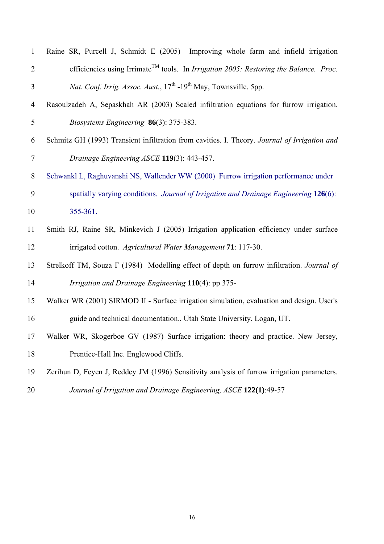| $\mathbf{1}$   | Raine SR, Purcell J, Schmidt E (2005) Improving whole farm and infield irrigation                        |
|----------------|----------------------------------------------------------------------------------------------------------|
| $\overline{2}$ | efficiencies using Irrimate <sup>TM</sup> tools. In <i>Irrigation 2005: Restoring the Balance. Proc.</i> |
| 3              | <i>Nat. Conf. Irrig. Assoc. Aust.</i> , 17 <sup>th</sup> -19 <sup>th</sup> May, Townsville. 5pp.         |
| $\overline{4}$ | Rasoulzadeh A, Sepaskhah AR (2003) Scaled infiltration equations for furrow irrigation.                  |
| 5              | Biosystems Engineering 86(3): 375-383.                                                                   |
| 6              | Schmitz GH (1993) Transient infiltration from cavities. I. Theory. Journal of Irrigation and             |
| $\tau$         | Drainage Engineering ASCE 119(3): 443-457.                                                               |
| 8              | Schwankl L, Raghuvanshi NS, Wallender WW (2000) Furrow irrigation performance under                      |
| 9              | spatially varying conditions. Journal of Irrigation and Drainage Engineering 126(6):                     |
| 10             | 355-361.                                                                                                 |
| 11             | Smith RJ, Raine SR, Minkevich J (2005) Irrigation application efficiency under surface                   |
| 12             | irrigated cotton. Agricultural Water Management 71: 117-30.                                              |
| 13             | Strelkoff TM, Souza F (1984) Modelling effect of depth on furrow infiltration. Journal of                |
| 14             | Irrigation and Drainage Engineering 110(4): pp 375-                                                      |
| 15             | Walker WR (2001) SIRMOD II - Surface irrigation simulation, evaluation and design. User's                |
| 16             | guide and technical documentation., Utah State University, Logan, UT.                                    |
| 17             | Walker WR, Skogerboe GV (1987) Surface irrigation: theory and practice. New Jersey,                      |
| 18             | Prentice-Hall Inc. Englewood Cliffs.                                                                     |
| 19             | Zerihun D, Feyen J, Reddey JM (1996) Sensitivity analysis of furrow irrigation parameters.               |
|                |                                                                                                          |

20 *Journal of Irrigation and Drainage Engineering, ASCE* **122(1)**:49-57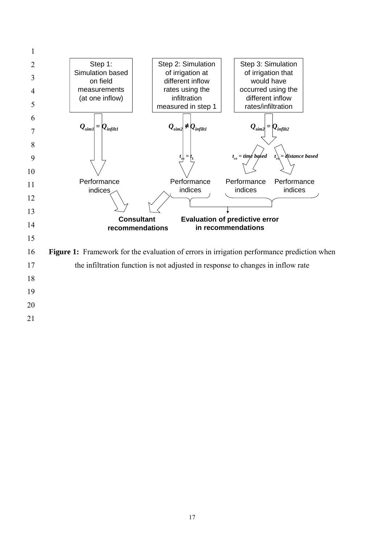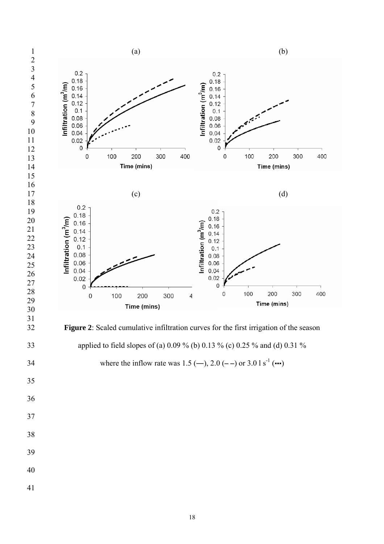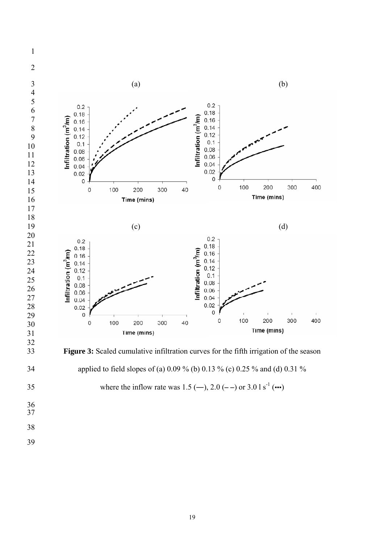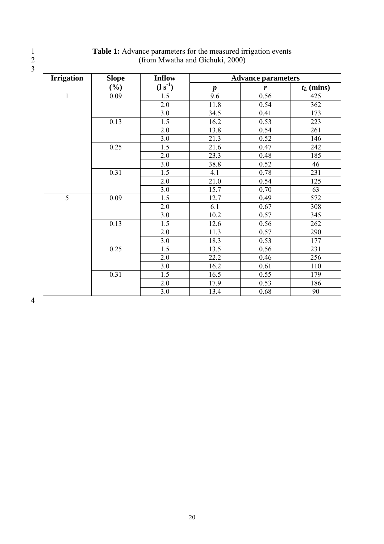| <b>Irrigation</b> | <b>Slope</b> | <b>Inflow</b> | <b>Advance parameters</b> |                  |              |  |  |  |  |
|-------------------|--------------|---------------|---------------------------|------------------|--------------|--|--|--|--|
|                   | $(\%)$       | $(l s-1)$     | $\boldsymbol{p}$          | $\boldsymbol{r}$ | $t_L$ (mins) |  |  |  |  |
| $\mathbf{1}$      | 0.09         | 1.5           | 9.6                       | 0.56             | 425          |  |  |  |  |
|                   |              | 2.0           | 11.8                      | 0.54             | 362          |  |  |  |  |
|                   |              | 3.0           | 34.5                      | 0.41             | 173          |  |  |  |  |
|                   | 0.13         | 1.5           | 16.2                      | 0.53             | 223          |  |  |  |  |
|                   |              | 2.0           | 13.8                      | 0.54             | 261          |  |  |  |  |
|                   |              | 3.0           | 21.3                      | 0.52             | 146          |  |  |  |  |
|                   | 0.25         | 1.5           | 21.6                      | 0.47             | 242          |  |  |  |  |
|                   |              | 2.0           | 23.3                      | 0.48             | 185          |  |  |  |  |
|                   |              | 3.0           | 38.8                      | 0.52             | 46           |  |  |  |  |
|                   | 0.31         | 1.5           | 4.1                       | 0.78             | 231          |  |  |  |  |
|                   |              | 2.0           | 21.0                      | 0.54             | 125          |  |  |  |  |
|                   |              | 3.0           | 15.7                      | 0.70             | 63           |  |  |  |  |
| $\overline{5}$    | 0.09         | 1.5           | 12.7                      | 0.49             | 572          |  |  |  |  |
|                   |              | 2.0           | 6.1                       | 0.67             | 308          |  |  |  |  |
|                   |              | 3.0           | 10.2                      | 0.57             | 345          |  |  |  |  |
|                   | 0.13         | 1.5           | 12.6                      | 0.56             | 262          |  |  |  |  |
|                   |              | 2.0           | 11.3                      | 0.57             | 290          |  |  |  |  |
|                   |              | 3.0           | 18.3                      | 0.53             | 177          |  |  |  |  |
|                   | 0.25         | 1.5           | 13.5                      | 0.56             | 231          |  |  |  |  |
|                   |              | 2.0           | 22.2                      | 0.46             | 256          |  |  |  |  |
|                   |              | 3.0           | 16.2                      | 0.61             | 110          |  |  |  |  |
|                   | 0.31         | 1.5           | 16.5                      | 0.55             | 179          |  |  |  |  |
|                   |              | 2.0           | 17.9                      | 0.53             | 186          |  |  |  |  |
|                   |              | 3.0           | 13.4                      | 0.68             | 90           |  |  |  |  |

# 1 **Table 1:** Advance parameters for the measured irrigation events 2 (from Mwatha and Gichuki, 2000)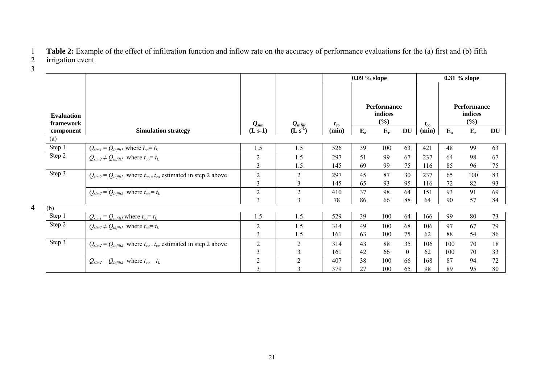1 **Table 2:** Example of the effect of infiltration function and inflow rate on the accuracy of performance evaluations for the (a) first and (b) fifth irrigation event

|                                |                                                                                                        |                         |                                    | $0.09\%$ slope |                                      |       | 0.31 % slope |          |                                         |       |    |
|--------------------------------|--------------------------------------------------------------------------------------------------------|-------------------------|------------------------------------|----------------|--------------------------------------|-------|--------------|----------|-----------------------------------------|-------|----|
| <b>Evaluation</b><br>framework |                                                                                                        | $\bm{\mathit{Q}}_{sim}$ |                                    | $t_{co}$       | <b>Performance</b><br>indices<br>(%) |       |              | $t_{co}$ | <b>Performance</b><br>indices<br>$(\%)$ |       |    |
| component                      | <b>Simulation strategy</b>                                                                             | $(L s-1)$               | $\frac{Q_{infill}}{(L \; s^{-1})}$ | (min)          | $E_{a}$                              | $E_r$ | <b>DU</b>    | (min)    | $E_{a}$                                 | $E_r$ | DU |
| (a)                            |                                                                                                        |                         |                                    |                |                                      |       |              |          |                                         |       |    |
| Step 1                         | $Q_{siml} = Q_{infiltl}$ where $t_{co} = t_L$                                                          | 1.5                     | 1.5                                | 526            | 39                                   | 100   | 63           | 421      | 48                                      | 99    | 63 |
| Step 2                         | $Q_{sim2} \neq Q_{infilt}$ where $t_{co} = t_L$                                                        | $\mathbf{2}$            | 1.5                                | 297            | 51                                   | 99    | 67           | 237      | 64                                      | 98    | 67 |
|                                |                                                                                                        | 3                       | 1.5                                | 145            | 69                                   | 99    | 75           | 116      | 85                                      | 96    | 75 |
| Step 3                         | $Q_{\text{sim2}} = Q_{\text{infilt2}}$ where $t_{\text{co}} = t_{\text{co}}$ estimated in step 2 above | $\overline{2}$          | 2                                  | 297            | 45                                   | 87    | 30           | 237      | 65                                      | 100   | 83 |
|                                |                                                                                                        | $\mathfrak{Z}$          | 3                                  | 145            | 65                                   | 93    | 95           | 116      | 72                                      | 82    | 93 |
|                                | $Q_{sim2} = Q_{infilt2}$ where $t_{co} = t_L$                                                          | $\sqrt{2}$              | $\overline{2}$                     | 410            | 37                                   | 98    | 64           | 151      | 93                                      | 91    | 69 |
|                                |                                                                                                        | 3                       | 3                                  | 78             | 86                                   | 66    | 88           | 64       | 90                                      | 57    | 84 |
| (b)                            |                                                                                                        |                         |                                    |                |                                      |       |              |          |                                         |       |    |
| Step 1                         | $Q_{siml} = Q_{infiltl}$ where $t_{co} = t_L$                                                          | 1.5                     | 1.5                                | 529            | 39                                   | 100   | 64           | 166      | 99                                      | 80    | 73 |
| Step 2                         | $Q_{\text{sim2}} \neq Q_{\text{infilt1}}$ where $t_{\text{co}} = t_L$                                  | $\overline{2}$          | 1.5                                | 314            | 49                                   | 100   | 68           | 106      | 97                                      | 67    | 79 |
|                                |                                                                                                        | 3                       | 1.5                                | 161            | 63                                   | 100   | 75           | 62       | 88                                      | 54    | 86 |
| Step 3                         | $Q_{\text{sim2}} = Q_{\text{infilt2}}$ where $t_{\text{co}} = t_{\text{co}}$ estimated in step 2 above | $\mathfrak{2}$          | $\overline{2}$                     | 314            | 43                                   | 88    | 35           | 106      | 100                                     | 70    | 18 |
|                                |                                                                                                        | 3                       | 3                                  | 161            | 42                                   | 66    | $\theta$     | 62       | 100                                     | 70    | 33 |
|                                | $Q_{sim2} = Q_{infilt2}$ where $t_{co} = t_L$                                                          | $\overline{2}$          | $\overline{2}$                     | 407            | 38                                   | 100   | 66           | 168      | 87                                      | 94    | 72 |
|                                |                                                                                                        | 3                       | 3                                  | 379            | 27                                   | 100   | 65           | 98       | 89                                      | 95    | 80 |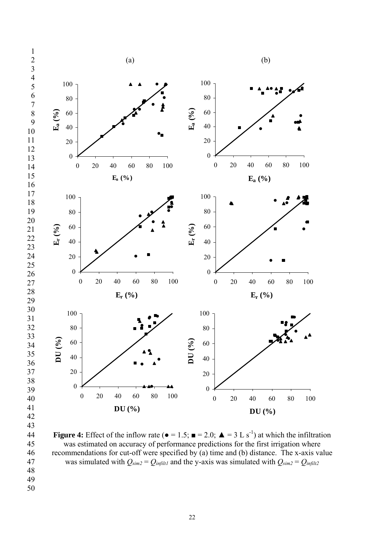

**Figure 4:** Effect of the inflow rate ( $\bullet = 1.5$ ;  $\bullet = 2.0$ ;  $\bullet = 3 \text{ L s}^{-1}$ ) at which the infiltration 45 was estimated on accuracy of performance predictions for the first irrigation where 46 recommendations for cut-off were specified by (a) time and (b) distance. The x-axis value 47 was simulated with  $Q_{\text{sim2}} = Q_{\text{inflill2}}$  and the y-axis was simulated with  $Q_{\text{sim2}} = Q_{\text{inflil2}}$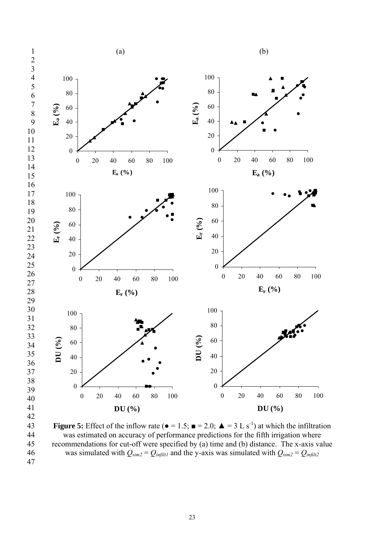

**Figure 5:** Effect of the inflow rate ( $\bullet = 1.5$ ;  $\bullet = 2.0$ ;  $\bullet = 3 \text{ L s}^{-1}$ ) at which the infiltration was estimated on accuracy of performance predictions for the fifth irrigation where was estimated on accuracy of performance predictions for the fifth irrigation where<br>45 recommendations for cut-off were specified by (a) time and (b) distance. The x-axis va recommendations for cut-off were specified by (a) time and (b) distance. The x-axis value 46 was simulated with  $Q_{\text{sim2}} = Q_{\text{infill1}}$  and the y-axis was simulated with  $Q_{\text{sim2}} = Q_{\text{infill2}}$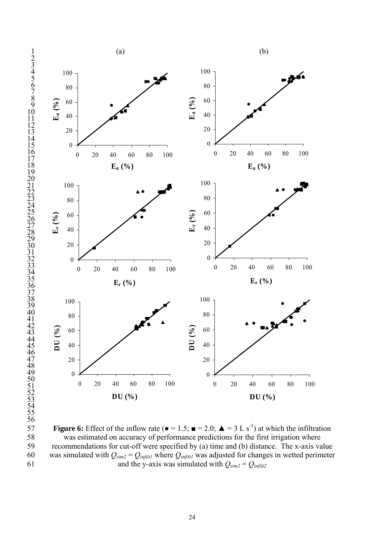



**Figure 6:** Effect of the inflow rate ( $\bullet = 1.5$ ;  $\bullet = 2.0$ ;  $\bullet = 3 \text{ L s}^{-1}$ ) at which the infiltration was estimated on accuracy of performance predictions for the first irrigation where 58 was estimated on accuracy of performance predictions for the first irrigation where<br>59 recommendations for cut-off were specified by (a) time and (b) distance. The x-axis va recommendations for cut-off were specified by (a) time and (b) distance. The x-axis value 60 was simulated with  $Q_{sim2} = Q_{infill}$  where  $Q_{infill}$  was adjusted for changes in wetted perimeter 61 and the y-axis was simulated with  $Q_{\text{sim2}} = Q_{\text{infilt2}}$